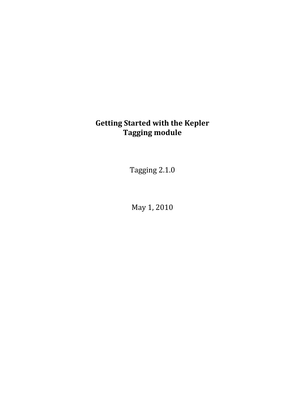# **Getting Started with the Kepler Tagging module**

Tagging 2.1.0

May 1, 2010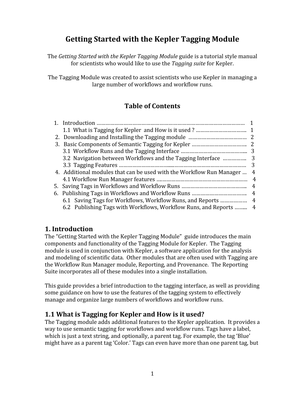## **Getting Started with the Kepler Tagging Module**

The *Getting Started with the Kepler Tagging Module* guide is a tutorial style manual for scientists who would like to use the *Tagging suite* for Kepler.

The Tagging Module was created to assist scientists who use Kepler in managing a large number of workflows and workflow runs.

## **Table of Contents**

|                                                                      | 3  |
|----------------------------------------------------------------------|----|
| 4. Additional modules that can be used with the Workflow Run Manager | 4  |
|                                                                      | 4  |
|                                                                      | 4  |
|                                                                      | -4 |
| 6.1 Saving Tags for Workflows, Workflow Runs, and Reports  4         |    |
| 6.2 Publishing Tags with Workflows, Workflow Runs, and Reports  4    |    |
|                                                                      |    |

#### **1. Introduction**

The "Getting Started with the Kepler Tagging Module" guide introduces the main components and functionality of the Tagging Module for Kepler. The Tagging module is used in conjunction with Kepler, a software application for the analysis and modeling of scientific data. Other modules that are often used with Tagging are the Workflow Run Manager module, Reporting, and Provenance. The Reporting Suite incorporates all of these modules into a single installation.

This guide provides a brief introduction to the tagging interface, as well as providing some guidance on how to use the features of the tagging system to effectively manage and organize large numbers of workflows and workflow runs.

#### **1.1 What is Tagging for Kepler and How is it used?**

The Tagging module adds additional features to the Kepler application. It provides a way to use semantic tagging for workflows and workflow runs. Tags have a label, which is just a text string, and optionally, a parent tag. For example, the tag 'Blue' might have as a parent tag 'Color.' Tags can even have more than one parent tag, but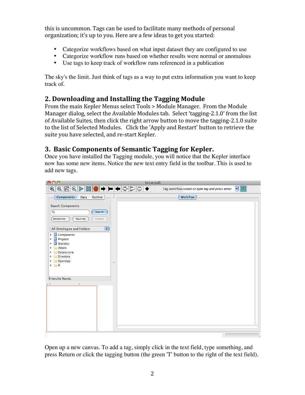this is uncommon. Tags can be used to facilitate many methods of personal organization; it's up to you. Here are a few ideas to get you started:

- Categorize workflows based on what input dataset they are configured to use
- Categorize workflow runs based on whether results were normal or anomalous
- Use tags to keep track of workflow runs referenced in a publication

The sky's the limit. Just think of tags as a way to put extra information you want to keep track of.

#### **2. Downloading and Installing the Tagging Module**

From the main Kepler Menus select Tools > Module Manager. From the Module Manager dialog, select the Available Modules tab. Select 'tagging‐2.1.0' from the list of Available Suites, then click the right arrow button to move the tagging‐2.1.0 suite to the list of Selected Modules. Click the 'Apply and Restart' button to retrieve the suite you have selected, and re‐start Kepler.

#### **3. Basic Components of Semantic Tagging for Kepler.**

Once you have installed the Tagging module, you will notice that the Kepler interface now has some new items. Notice the new text entry field in the toolbar. This is used to add new tags.



Open up a new canvas. To add a tag, simply click in the text field, type something, and press Return or click the tagging button (the green 'T' button to the right of the text field).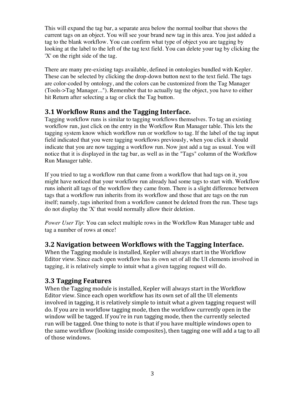This will expand the tag bar, a separate area below the normal toolbar that shows the current tags on an object. You will see your brand new tag in this area. You just added a tag to the blank workflow. You can confirm what type of object you are tagging by looking at the label to the left of the tag text field. You can delete your tag by clicking the 'X' on the right side of the tag.

There are many pre-existing tags available, defined in ontologies bundled with Kepler. These can be selected by clicking the drop-down button next to the text field. The tags are color-coded by ontology, and the colors can be customized from the Tag Manager (Tools->Tag Manager..."). Remember that to actually tag the object, you have to either hit Return after selecting a tag or click the Tag button.

#### **3.1 Workflow Runs and the Tagging Interface.**

Tagging workflow runs is similar to tagging workflows themselves. To tag an existing workflow run, just click on the entry in the Workflow Run Manager table. This lets the tagging system know which workflow run or workflow to tag. If the label of the tag input field indicated that you were tagging workflows previously, when you click it should indicate that you are now tagging a workflow run. Now just add a tag as usual. You will notice that it is displayed in the tag bar, as well as in the "Tags" column of the Workflow Run Manager table.

If you tried to tag a workflow run that came from a workflow that had tags on it, you might have noticed that your workflow run already had some tags to start with. Workflow runs inherit all tags of the workflow they came from. There is a slight difference between tags that a workflow run inherits from its workflow and those that are tags on the run itself; namely, tags inherited from a workflow cannot be deleted from the run. These tags do not display the 'X' that would normally allow their deletion.

*Power User Tip*: You can select multiple rows in the Workflow Run Manager table and tag a number of rows at once!

#### **3.2 Navigation between Workflows with the Tagging Interface.**

When the Tagging module is installed, Kepler will always start in the Workflow Editor view. Since each open workflow has its own set of all the UI elements involved in tagging, it is relatively simple to intuit what a given tagging request will do.

#### **3.3 Tagging Features**

When the Tagging module is installed, Kepler will always start in the Workflow Editor view. Since each open workflow has its own set of all the UI elements involved in tagging, it is relatively simple to intuit what a given tagging request will do. If you are in workflow tagging mode, then the workflow currently open in the window will be tagged. If you're in run tagging mode, then the currently selected run will be tagged. One thing to note is that if you have multiple windows open to the same workflow (looking inside composites), then tagging one will add a tag to all of those windows.